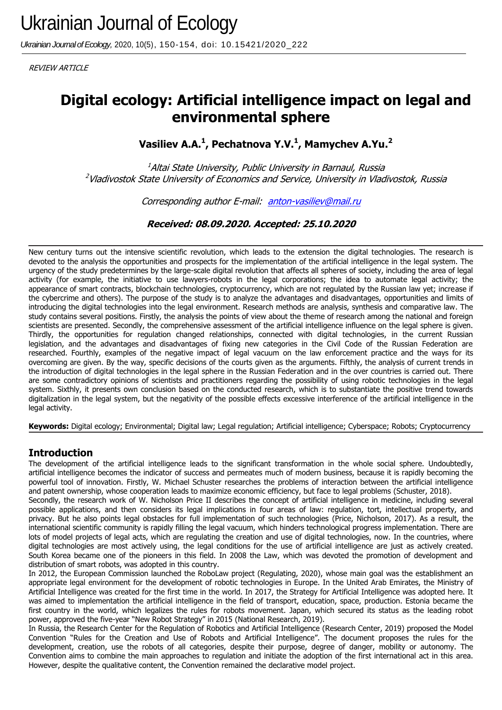*Ukrainian Journal of Ecology,* 2020, 10(5), 150-154, doi: 10.15421/2020\_222

REVIEW ARTICLE

# **Digital ecology: Artificial intelligence impact on legal and environmental sphere**

**Vasiliev A.A.<sup>1</sup> , Pechatnova Y.V.<sup>1</sup> , Mamychev A.Yu.<sup>2</sup>**

 $1$ Altai State University, Public University in Barnaul, Russia <sup>2</sup>Vladivostok State University of Economics and Service, University in Vladivostok, Russia

Corresponding author E-mail: [anton-vasiliev@mail.ru](mailto:anton_vasiliev@mail.ru)

**Received: 08.09.2020. Accepted: 25.10.2020**

New century turns out the intensive scientific revolution, which leads to the extension the digital technologies. The research is devoted to the analysis the opportunities and prospects for the implementation of the artificial intelligence in the legal system. The urgency of the study predetermines by the large-scale digital revolution that affects all spheres of society, including the area of legal activity (for example, the initiative to use lawyers-robots in the legal corporations; the idea to automate legal activity; the appearance of smart contracts, blockchain technologies, cryptocurrency, which are not regulated by the Russian law yet; increase if the cybercrime and others). The purpose of the study is to analyze the advantages and disadvantages, opportunities and limits of introducing the digital technologies into the legal environment. Research methods are analysis, synthesis and comparative law. The study contains several positions. Firstly, the analysis the points of view about the theme of research among the national and foreign scientists are presented. Secondly, the comprehensive assessment of the artificial intelligence influence on the legal sphere is given. Thirdly, the opportunities for regulation changed relationships, connected with digital technologies, in the current Russian legislation, and the advantages and disadvantages of fixing new categories in the Civil Code of the Russian Federation are researched. Fourthly, examples of the negative impact of legal vacuum on the law enforcement practice and the ways for its overcoming are given. By the way, specific decisions of the courts given as the arguments. Fifthly, the analysis of current trends in the introduction of digital technologies in the legal sphere in the Russian Federation and in the over countries is carried out. There are some contradictory opinions of scientists and practitioners regarding the possibility of using robotic technologies in the legal system. Sixthly, it presents own conclusion based on the conducted research, which is to substantiate the positive trend towards digitalization in the legal system, but the negativity of the possible effects excessive interference of the artificial intelligence in the legal activity.

**Keywords:** Digital ecology; Environmental; Digital law; Legal regulation; Artificial intelligence; Cyberspace; Robots; Cryptocurrency

## **Introduction**

The development of the artificial intelligence leads to the significant transformation in the whole social sphere. Undoubtedly, artificial intelligence becomes the indicator of success and permeates much of modern business, because it is rapidly becoming the powerful tool of innovation. Firstly, W. Michael Schuster researches the problems of interaction between the artificial intelligence and patent ownership, whose cooperation leads to maximize economic efficiency, but face to legal problems (Schuster, 2018).

Secondly, the research work of W. Nicholson Price II describes the concept of artificial intelligence in medicine, including several possible applications, and then considers its legal implications in four areas of law: regulation, tort, intellectual property, and privacy. But he also points legal obstacles for full implementation of such technologies (Price, Nicholson, 2017). As a result, the international scientific community is rapidly filling the legal vacuum, which hinders technological progress implementation. There are lots of model projects of legal acts, which are regulating the creation and use of digital technologies, now. In the countries, where digital technologies are most actively using, the legal conditions for the use of artificial intelligence are just as actively created. South Korea became one of the pioneers in this field. In 2008 the Law, which was devoted the promotion of development and distribution of smart robots, was adopted in this country.

In 2012, the European Commission launched the RoboLaw project (Regulating, 2020), whose main goal was the establishment an appropriate legal environment for the development of robotic technologies in Europe. In the United Arab Emirates, the Ministry of Artificial Intelligence was created for the first time in the world. In 2017, the Strategy for Artificial Intelligence was adopted here. It was aimed to implementation the artificial intelligence in the field of transport, education, space, production. Estonia became the first country in the world, which legalizes the rules for robots movement. Japan, which secured its status as the leading robot power, approved the five-year "New Robot Strategy" in 2015 (National Research, 2019).

In Russia, the Research Center for the Regulation of Robotics and Artificial Intelligence (Research Center, 2019) proposed the Model Convention "Rules for the Creation and Use of Robots and Artificial Intelligence". The document proposes the rules for the development, creation, use the robots of all categories, despite their purpose, degree of danger, mobility or autonomy. The Convention aims to combine the main approaches to regulation and initiate the adoption of the first international act in this area. However, despite the qualitative content, the Convention remained the declarative model project.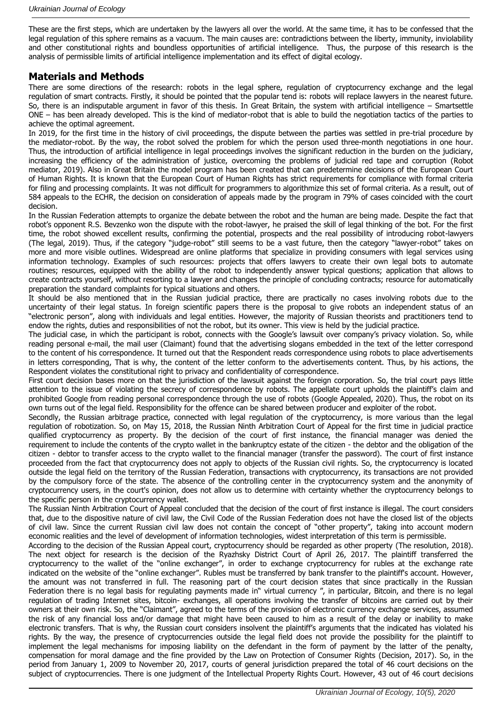These are the first steps, which are undertaken by the lawyers all over the world. At the same time, it has to be confessed that the legal regulation of this sphere remains as a vacuum. The main causes are: contradictions between the liberty, immunity, inviolability and other constitutional rights and boundless opportunities of artificial intelligence. Thus, the purpose of this research is the analysis of permissible limits of artificial intelligence implementation and its effect of digital ecology.

### **Materials and Methods**

There are some directions of the research: robots in the legal sphere, regulation of cryptocurrency exchange and the legal regulation of smart contracts. Firstly, it should be pointed that the popular tend is: robots will replace lawyers in the nearest future. So, there is an indisputable argument in favor of this thesis. In Great Britain, the system with artificial intelligence – Smartsettle ONE – has been already developed. This is the kind of mediator-robot that is able to build the negotiation tactics of the parties to achieve the optimal agreement.

In 2019, for the first time in the history of civil proceedings, the dispute between the parties was settled in pre-trial procedure by the mediator-robot. By the way, the robot solved the problem for which the person used three-month negotiations in one hour. Thus, the introduction of artificial intelligence in legal proceedings involves the significant reduction in the burden on the judiciary, increasing the efficiency of the administration of justice, overcoming the problems of judicial red tape and corruption (Robot mediator, 2019). Also in Great Britain the model program has been created that can predetermine decisions of the European Court of Human Rights. It is known that the European Court of Human Rights has strict requirements for compliance with formal criteria for filing and processing complaints. It was not difficult for programmers to algorithmize this set of formal criteria. As a result, out of 584 appeals to the ECHR, the decision on consideration of appeals made by the program in 79% of cases coincided with the court decision.

In the Russian Federation attempts to organize the debate between the robot and the human are being made. Despite the fact that robot's opponent R.S. Bevzenko won the dispute with the robot-lawyer, he praised the skill of legal thinking of the bot. For the first time, the robot showed excellent results, confirming the potential, prospects and the real possibility of introducing robot-lawyers (The legal, 2019). Thus, if the category "judge-robot" still seems to be a vast future, then the category "lawyer-robot" takes on more and more visible outlines. Widespread are online platforms that specialize in providing consumers with legal services using information technology. Examples of such resources: projects that offers lawyers to create their own legal bots to automate routines; resources, equipped with the ability of the robot to independently answer typical questions; application that allows to create contracts yourself, without resorting to a lawyer and changes the principle of concluding contracts; resource for automatically preparation the standard complaints for typical situations and others.

It should be also mentioned that in the Russian judicial practice, there are practically no cases involving robots due to the uncertainty of their legal status. In foreign scientific papers there is the proposal to give robots an independent status of an "electronic person", along with individuals and legal entities. However, the majority of Russian theorists and practitioners tend to endow the rights, duties and responsibilities of not the robot, but its owner. This view is held by the judicial practice.

The judicial case, in which the participant is robot, connects with the Google's lawsuit over company's privacy violation. So, while reading personal e-mail, the mail user (Claimant) found that the advertising slogans embedded in the text of the letter correspond to the content of his correspondence. It turned out that the Respondent reads correspondence using robots to place advertisements in letters corresponding, That is why, the content of the letter conform to the advertisements content. Thus, by his actions, the Respondent violates the constitutional right to privacy and confidentiality of correspondence.

First court decision bases more on that the jurisdiction of the lawsuit against the foreign corporation. So, the trial court pays little attention to the issue of violating the secrecy of correspondence by robots. The appellate court upholds the plaintiff's claim and prohibited Google from reading personal correspondence through the use of robots (Google Appealed, 2020). Thus, the robot on its own turns out of the legal field. Responsibility for the offence can be shared between producer and exploiter of the robot.

Secondly, the Russian arbitrage practice, connected with legal regulation of the cryptocurrency, is more various than the legal regulation of robotization. So, on May 15, 2018, the Russian Ninth Arbitration Court of Appeal for the first time in judicial practice qualified cryptocurrency as property. By the decision of the court of first instance, the financial manager was denied the requirement to include the contents of the crypto wallet in the bankruptcy estate of the citizen - the debtor and the obligation of the citizen - debtor to transfer access to the crypto wallet to the financial manager (transfer the password). The court of first instance proceeded from the fact that cryptocurrency does not apply to objects of the Russian civil rights. So, the cryptocurrency is located outside the legal field on the territory of the Russian Federation, transactions with cryptocurrency, its transactions are not provided by the compulsory force of the state. The absence of the controlling center in the cryptocurrency system and the anonymity of cryptocurrency users, in the court's opinion, does not allow us to determine with certainty whether the cryptocurrency belongs to the specific person in the cryptocurrency wallet.

The Russian Ninth Arbitration Court of Appeal concluded that the decision of the court of first instance is illegal. The court considers that, due to the dispositive nature of civil law, the Civil Code of the Russian Federation does not have the closed list of the objects of civil law. Since the current Russian civil law does not contain the concept of "other property", taking into account modern economic realities and the level of development of information technologies, widest interpretation of this term is permissible.

According to the decision of the Russian Appeal court, cryptocurrency should be regarded as other property (The resolution, 2018). The next object for research is the decision of the Ryazhsky District Court of April 26, 2017. The plaintiff transferred the cryptocurrency to the wallet of the "online exchanger", in order to exchange cryptocurrency for rubles at the exchange rate indicated on the website of the "online exchanger". Rubles must be transferred by bank transfer to the plaintiff's account. However, the amount was not transferred in full. The reasoning part of the court decision states that since practically in the Russian Federation there is no legal basis for regulating payments made in" virtual currency ", in particular, Bitcoin, and there is no legal regulation of trading Internet sites, bitcoin- exchanges, all operations involving the transfer of bitcoins are carried out by their owners at their own risk. So, the "Claimant", agreed to the terms of the provision of electronic currency exchange services, assumed the risk of any financial loss and/or damage that might have been caused to him as a result of the delay or inability to make electronic transfers. That is why, the Russian court considers insolvent the plaintiff's arguments that the indicated has violated his rights. By the way, the presence of cryptocurrencies outside the legal field does not provide the possibility for the plaintiff to implement the legal mechanisms for imposing liability on the defendant in the form of payment by the latter of the penalty, compensation for moral damage and the fine provided by the Law on Protection of Consumer Rights (Decision, 2017). So, in the period from January 1, 2009 to November 20, 2017, courts of general jurisdiction prepared the total of 46 court decisions on the subject of cryptocurrencies. There is one judgment of the Intellectual Property Rights Court. However, 43 out of 46 court decisions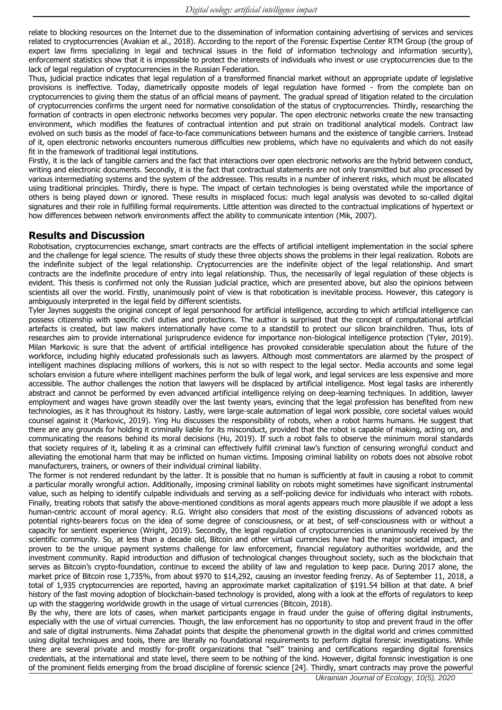relate to blocking resources on the Internet due to the dissemination of information containing advertising of services and services related to cryptocurrencies (Avakian et al., 2018). According to the report of the Forensic Expertise Center RTM Group (the group of expert law firms specializing in legal and technical issues in the field of information technology and information security), enforcement statistics show that it is impossible to protect the interests of individuals who invest or use cryptocurrencies due to the lack of legal regulation of cryptocurrencies in the Russian Federation.

Thus, judicial practice indicates that legal regulation of a transformed financial market without an appropriate update of legislative provisions is ineffective. Today, diametrically opposite models of legal regulation have formed - from the complete ban on cryptocurrencies to giving them the status of an official means of payment. The gradual spread of litigation related to the circulation of cryptocurrencies confirms the urgent need for normative consolidation of the status of cryptocurrencies. Thirdly, researching the formation of contracts in open electronic networks becomes very popular. The open electronic networks create the new transacting environment, which modifies the features of contractual intention and put strain on traditional analytical models. Contract law evolved on such basis as the model of face-to-face communications between humans and the existence of tangible carriers. Instead of it, open electronic networks encounters numerous difficulties new problems, which have no equivalents and which do not easily fit in the framework of traditional legal institutions.

Firstly, it is the lack of tangible carriers and the fact that interactions over open electronic networks are the hybrid between conduct, writing and electronic documents. Secondly, it is the fact that contractual statements are not only transmitted but also processed by various intermediating systems and the system of the addressee. This results in a number of inherent risks, which must be allocated using traditional principles. Thirdly, there is hype. The impact of certain technologies is being overstated while the importance of others is being played down or ignored. These results in misplaced focus: much legal analysis was devoted to so-called digital signatures and their role in fulfilling formal requirements. Little attention was directed to the contractual implications of hypertext or how differences between network environments affect the ability to communicate intention (Mik, 2007).

#### **Results and Discussion**

Robotisation, cryptocurrencies exchange, smart contracts are the effects of artificial intelligent implementation in the social sphere and the challenge for legal science. The results of study these three objects shows the problems in their legal realization. Robots are the indefinite subject of the legal relationship. Cryptocurrencies are the indefinite object of the legal relationship. And smart contracts are the indefinite procedure of entry into legal relationship. Thus, the necessarily of legal regulation of these objects is evident. This thesis is confirmed not only the Russian judicial practice, which are presented above, but also the opinions between scientists all over the world. Firstly, unanimously point of view is that robotication is inevitable process. However, this category is ambiguously interpreted in the legal field by different scientists.

Tyler Jaynes suggests the original concept of legal personhood for artificial intelligence, according to which artificial intelligence can possess citizenship with specific civil duties and protections. The author is surprised that the concept of computational artificial artefacts is created, but law makers internationally have come to a standstill to protect our silicon brainchildren. Thus, lots of researches aim to provide international jurisprudence evidence for importance non-biological intelligence protection (Tyler, 2019). Milan Markovic is sure that the advent of artificial intelligence has provoked considerable speculation about the future of the workforce, including highly educated professionals such as lawyers. Although most commentators are alarmed by the prospect of intelligent machines displacing millions of workers, this is not so with respect to the legal sector. Media accounts and some legal scholars envision a future where intelligent machines perform the bulk of legal work, and legal services are less expensive and more accessible. The author challenges the notion that lawyers will be displaced by artificial intelligence. Most legal tasks are inherently abstract and cannot be performed by even advanced artificial intelligence relying on deep-learning techniques. In addition, lawyer employment and wages have grown steadily over the last twenty years, evincing that the legal profession has benefited from new technologies, as it has throughout its history. Lastly, were large-scale automation of legal work possible, core societal values would counsel against it (Markovic, 2019). Ying Hu discusses the responsibility of robots, when a robot harms humans. He suggest that there are any grounds for holding it criminally liable for its misconduct, provided that the robot is capable of making, acting on, and communicating the reasons behind its moral decisions (Hu, 2019). If such a robot fails to observe the minimum moral standards that society requires of it, labeling it as a criminal can effectively fulfill criminal law's function of censuring wrongful conduct and alleviating the emotional harm that may be inflicted on human victims. Imposing criminal liability on robots does not absolve robot manufacturers, trainers, or owners of their individual criminal liability.

The former is not rendered redundant by the latter. It is possible that no human is sufficiently at fault in causing a robot to commit a particular morally wrongful action. Additionally, imposing criminal liability on robots might sometimes have significant instrumental value, such as helping to identify culpable individuals and serving as a self-policing device for individuals who interact with robots. Finally, treating robots that satisfy the above-mentioned conditions as moral agents appears much more plausible if we adopt a less human-centric account of moral agency. R.G. Wright also considers that most of the existing discussions of advanced robots as potential rights-bearers focus on the idea of some degree of consciousness, or at best, of self-consciousness with or without a capacity for sentient experience (Wright, 2019). Secondly, the legal regulation of cryptocurrencies is unanimously received by the scientific community. So, at less than a decade old, Bitcoin and other virtual currencies have had the major societal impact, and proven to be the unique payment systems challenge for law enforcement, financial regulatory authorities worldwide, and the investment community. Rapid introduction and diffusion of technological changes throughout society, such as the blockchain that serves as Bitcoin's crypto-foundation, continue to exceed the ability of law and regulation to keep pace. During 2017 alone, the market price of Bitcoin rose 1,735%, from about \$970 to \$14,292, causing an investor feeding frenzy. As of September 11, 2018, a total of 1,935 cryptocurrencies are reported, having an approximate market capitalization of \$191.54 billion at that date. A brief history of the fast moving adoption of blockchain-based technology is provided, along with a look at the efforts of regulators to keep up with the staggering worldwide growth in the usage of virtual currencies (Bitcoin, 2018).

By the why, there are lots of cases, when market participants engage in fraud under the guise of offering digital instruments, especially with the use of virtual currencies. Though, the law enforcement has no opportunity to stop and prevent fraud in the offer and sale of digital instruments. Nima Zahadat points that despite the phenomenal growth in the digital world and crimes committed using digital techniques and tools, there are literally no foundational requirements to perform digital forensic investigations. While there are several private and mostly for-profit organizations that "sell" training and certifications regarding digital forensics credentials, at the international and state level, there seem to be nothing of the kind. However, digital forensic investigation is one of the prominent fields emerging from the broad discipline of forensic science [24]. Thirdly, smart contracts may prove the powerful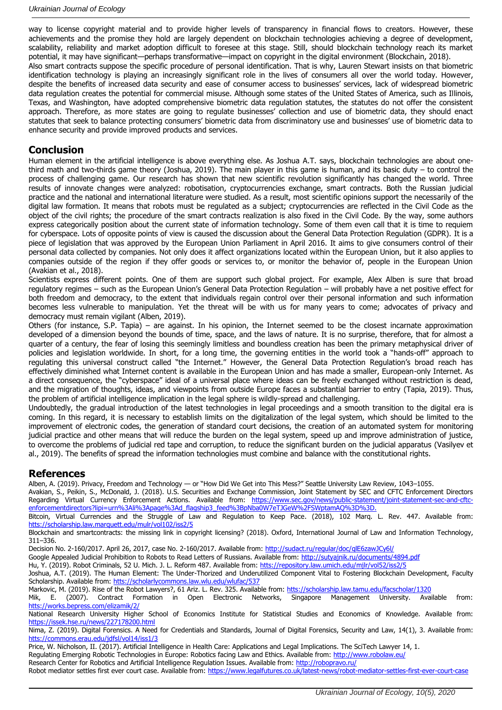way to license copyright material and to provide higher levels of transparency in financial flows to creators. However, these achievements and the promise they hold are largely dependent on blockchain technologies achieving a degree of development, scalability, reliability and market adoption difficult to foresee at this stage. Still, should blockchain technology reach its market potential, it may have significant—perhaps transformative—impact on copyright in the digital environment (Blockchain, 2018). Also smart contracts suppose the specific procedure of personal identification. That is why, Lauren Stewart insists on that biometric identification technology is playing an increasingly significant role in the lives of consumers all over the world today. However, despite the benefits of increased data security and ease of consumer access to businesses' services, lack of widespread biometric data regulation creates the potential for commercial misuse. Although some states of the United States of America, such as Illinois,

Texas, and Washington, have adopted comprehensive biometric data regulation statutes, the statutes do not offer the consistent approach. Therefore, as more states are going to regulate businesses' collection and use of biometric data, they should enact statutes that seek to balance protecting consumers' biometric data from discriminatory use and businesses' use of biometric data to enhance security and provide improved products and services.

#### **Conclusion**

Human element in the artificial intelligence is above everything else. As Joshua A.T. says, blockchain technologies are about onethird math and two-thirds game theory (Joshua, 2019). The main player in this game is human, and its basic duty – to control the process of challenging game. Our research has shown that new scientific revolution significantly has changed the world. Three results of innovate changes were analyzed: robotisation, cryptocurrencies exchange, smart contracts. Both the Russian judicial practice and the national and international literature were studied. As a result, most scientific opinions support the necessarily of the digital law formation. It means that robots must be regulated as a subject; cryptocurrencies are reflected in the Civil Code as the object of the civil rights; the procedure of the smart contracts realization is also fixed in the Civil Code. By the way, some authors express categorically position about the current state of information technology. Some of them even call that it is time to requiem for cyberspace. Lots of opposite points of view is caused the discussion about the General Data Protection Regulation (GDPR). It is a piece of legislation that was approved by the European Union Parliament in April 2016. It aims to give consumers control of their personal data collected by companies. Not only does it affect organizations located within the European Union, but it also applies to companies outside of the region if they offer goods or services to, or monitor the behavior of, people in the European Union (Avakian et al., 2018).

Scientists express different points. One of them are support such global project. For example, Alex Alben is sure that broad regulatory regimes – such as the European Union's General Data Protection Regulation – will probably have a net positive effect for both freedom and democracy, to the extent that individuals regain control over their personal information and such information becomes less vulnerable to manipulation. Yet the threat will be with us for many years to come; advocates of privacy and democracy must remain vigilant (Alben, 2019).

Others (for instance, S.P. Tapia) – are against. In his opinion, the Internet seemed to be the closest incarnate approximation developed of a dimension beyond the bounds of time, space, and the laws of nature. It is no surprise, therefore, that for almost a quarter of a century, the fear of losing this seemingly limitless and boundless creation has been the primary metaphysical driver of policies and legislation worldwide. In short, for a long time, the governing entities in the world took a "hands-off" approach to regulating this universal construct called "the Internet." However, the General Data Protection Regulation's broad reach has effectively diminished what Internet content is available in the European Union and has made a smaller, European-only Internet. As a direct consequence, the "cyberspace" ideal of a universal place where ideas can be freely exchanged without restriction is dead, and the migration of thoughts, ideas, and viewpoints from outside Europe faces a substantial barrier to entry (Tapia, 2019). Thus, the problem of artificial intelligence implication in the legal sphere is wildly-spread and challenging.

Undoubtedly, the gradual introduction of the latest technologies in legal proceedings and a smooth transition to the digital era is coming. In this regard, it is necessary to establish limits on the digitalization of the legal system, which should be limited to the improvement of electronic codes, the generation of standard court decisions, the creation of an automated system for monitoring judicial practice and other means that will reduce the burden on the legal system, speed up and improve administration of justice, to overcome the problems of judicial red tape and corruption, to reduce the significant burden on the judicial apparatus (Vasilyev et al., 2019). The benefits of spread the information technologies must combine and balance with the constitutional rights.

#### **References**

Alben, A. (2019). Privacy, Freedom and Technology — or "How Did We Get into This Mess?" Seattle University Law Review, 1043–1055.

Avakian, S., Peikin, S., McDonald, J. (2018). U.S. Securities and Exchange Commission, Joint Statement by SEC and CFTC Enforcement Directors Regarding Virtual Currency Enforcement Actions. Available from: [https://www.sec.gov/news/public-statement/joint-statement-sec-and-cftc](https://www.sec.gov/news/public-statement/joint-statement-sec-and-cftc-enforcementdirectors?lipi=urn%3Ali%3Apage%3Ad_flagship3_feed%3BpNba0W7eTJGeW%2FSWptamAQ%3D%3D)[enforcementdirectors?lipi=urn%3Ali%3Apage%3Ad\\_flagship3\\_feed%3BpNba0W7eTJGeW%2FSWptamAQ%3D%3D.](https://www.sec.gov/news/public-statement/joint-statement-sec-and-cftc-enforcementdirectors?lipi=urn%3Ali%3Apage%3Ad_flagship3_feed%3BpNba0W7eTJGeW%2FSWptamAQ%3D%3D)

Bitcoin, Virtual Currencies and the Struggle of Law and Regulation to Keep Pace. (2018), 102 Marq. L. Rev. 447. Available from: htts://scholarship.law.marquett.edu/mulr/vol102/iss2

Blockchain and smartcontracts: the missing link in copyright licensing? (2018). Oxford, International Journal of Law and Information Technology, 311–336.

Decision No. 2-160/2017. April 26, 2017, case No. 2-160/2017. Available from:<http://sudact.ru/regular/doc/qlE6zawJCy6l/>

Google Appealed Judicial Prohibition to Robots to Read Letters of Russians. Available from:<http://sutyajnik.ru/documents/4894.pdf>

Hu, Y. (2019). Robot Criminals, 52 U. Mich. J. L. Reform 487. Available from: htts://repository.law.umich.edu/mjlr/vol52/iss2/5

Joshua, A.T. (2019). The Human Element: The Under-Thorized and Underutilized Component Vital to Fostering Blockchain Development, Faculty Scholarship. Available from: htts://scholarlycommons.law.wlu.edu/wlufac/537

Markovic, M. (2019). Rise of the Robot Lawyers?, 61 Ariz. L. Rev. 325. Available from: htts://scholarship.law.tamu.edu/facscholar/1320 Mik, E. (2007). Contract Formation in Open Electronic Networks, Singapore Management University. Available from: htts://works.bepress.com/elizamik/2/

National Research University Higher School of Economics Institute for Statistical Studies and Economics of Knowledge. Available from: <https://issek.hse.ru/news/227178200.html>

Nima, Z. (2019). Digital Forensics. A Need for Credentials and Standards, Journal of Digital Forensics, Security and Law, 14(1), 3. Available from: htts://commons.erau.edu/jdfsl/vol14/iss1/3

Price, W. Nicholson, II. (2017). Artificial Intelligence in Health Care: Applications and Legal Implications. The SciTech Lawyer 14, 1.

Regulating Emerging Robotic Technologies in Europe: Robotics facing Law and Ethics. Available from[: http://www.robolaw.eu/](http://www.robolaw.eu/)

Research Center for Robotics and Artificial Intelligence Regulation Issues. Available from:<http://robopravo.ru/>

Robot mediator settles first ever court case. Available from:<https://www.legalfutures.co.uk/latest-news/robot-mediator-settles-first-ever-court-case>